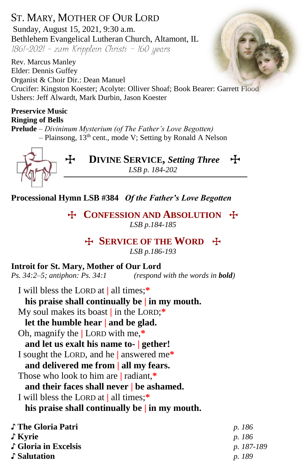ST. MARY, MOTHER OF OUR LORD Sunday, August 15, 2021, 9:30 a.m. Bethlehem Evangelical Lutheran Church, Altamont, IL  $1861-2021$  - zum Kripplein Christi - 160 years

Rev. Marcus Manley Elder: Dennis Guffey Organist & Choir Dir.: Dean Manuel Crucifer: Kingston Koester; Acolyte: Olliver Shoaf; Book Bearer: Garrett Flood Ushers: Jeff Alwardt, Mark Durbin, Jason Koester

#### **Preservice Music Ringing of Bells**

**Prelude** *– Divininum Mysterium (of The Father's Love Begotten) –* Plainsong, 13th cent., mode V; Setting by Ronald A Nelson



**Processional Hymn LSB #384** *Of the Father's Love Begotten*

T **CONFESSION AND ABSOLUTION** T *LSB p.184-185*

> T **SERVICE OF THE WORD** T *LSB p.186-193*

## **Introit for St. Mary, Mother of Our Lord**

*Ps. 34:2–5; antiphon: Ps. 34:1**(respond with the words in bold)*

I will bless the LORD at **|** all times;**\***

**his praise shall continually be | in my mouth.**

My soul makes its boast **|** in the LORD;**\***

**let the humble hear | and be glad.**

Oh, magnify the **|** LORD with me,**\***

**and let us exalt his name to- | gether!**

I sought the LORD, and he **|** answered me**\***

**and delivered me from | all my fears.**

Those who look to him are **|** radiant,**\***

## **and their faces shall never | be ashamed.**

I will bless the LORD at **|** all times;**\***

**his praise shall continually be | in my mouth.**

| p. 186        |
|---------------|
| <i>p.</i> 186 |
| p. 187-189    |
| <i>p.</i> 189 |
|               |

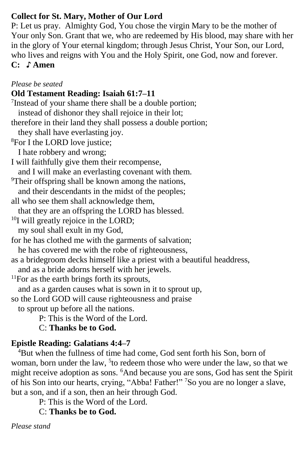# **Collect for St. Mary, Mother of Our Lord**

P: Let us pray. Almighty God, You chose the virgin Mary to be the mother of Your only Son. Grant that we, who are redeemed by His blood, may share with her in the glory of Your eternal kingdom; through Jesus Christ, Your Son, our Lord, who lives and reigns with You and the Holy Spirit, one God, now and forever. **C:** ♪ **Amen**

*Please be seated*

## **Old Testament Reading: Isaiah 61:7–11**

<sup>7</sup>Instead of your shame there shall be a double portion; instead of dishonor they shall rejoice in their lot; therefore in their land they shall possess a double portion; they shall have everlasting joy. <sup>8</sup>For I the LORD love justice; I hate robbery and wrong; I will faithfully give them their recompense, and I will make an everlasting covenant with them. <sup>9</sup>Their offspring shall be known among the nations, and their descendants in the midst of the peoples; all who see them shall acknowledge them, that they are an offspring the LORD has blessed. <sup>10</sup>I will greatly rejoice in the LORD; my soul shall exult in my God, for he has clothed me with the garments of salvation; he has covered me with the robe of righteousness, as a bridegroom decks himself like a priest with a beautiful headdress, and as a bride adorns herself with her jewels.  $11$ For as the earth brings forth its sprouts, and as a garden causes what is sown in it to sprout up, so the Lord GOD will cause righteousness and praise to sprout up before all the nations. P: This is the Word of the Lord. C: **Thanks be to God.**

## **Epistle Reading: Galatians 4:4–7**

<sup>4</sup>But when the fullness of time had come, God sent forth his Son, born of woman, born under the law, <sup>5</sup> to redeem those who were under the law, so that we might receive adoption as sons. <sup>6</sup>And because you are sons, God has sent the Spirit of his Son into our hearts, crying, "Abba! Father!" <sup>7</sup>So you are no longer a slave, but a son, and if a son, then an heir through God.

P: This is the Word of the Lord.

C: **Thanks be to God.**

*Please stand*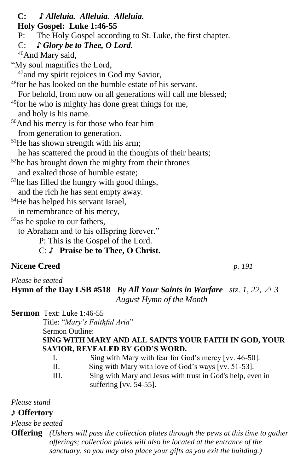**C: ♪** *Alleluia. Alleluia. Alleluia.*  **Holy Gospel: Luke 1:46-55** P: The Holy Gospel according to St. Luke, the first chapter. C: *♪ Glory be to Thee, O Lord.* <sup>46</sup>And Mary said, "My soul magnifies the Lord,  $47$  and my spirit rejoices in God my Savior, <sup>48</sup>for he has looked on the humble estate of his servant. For behold, from now on all generations will call me blessed; <sup>49</sup>for he who is mighty has done great things for me, and holy is his name. <sup>50</sup>And his mercy is for those who fear him from generation to generation. <sup>51</sup>He has shown strength with his arm; he has scattered the proud in the thoughts of their hearts; <sup>52</sup>he has brought down the mighty from their thrones and exalted those of humble estate;  $53$ he has filled the hungry with good things, and the rich he has sent empty away. <sup>54</sup>He has helped his servant Israel, in remembrance of his mercy, <sup>55</sup>as he spoke to our fathers, to Abraham and to his offspring forever." P: This is the Gospel of the Lord.

C: ♪ **Praise be to Thee, O Christ.**

# **Nicene Creed** *p. 191*

*Please be seated*

**Hymn** of the Day LSB #518 *By All Your Saints in Warfare stz. 1, 22,*  $\triangle 3$  *August Hymn of the Month*

**Sermon** Text: Luke 1:46-55

Title: "*Mary's Faithful Aria*"

Sermon Outline:

#### **SING WITH MARY AND ALL SAINTS YOUR FAITH IN GOD, YOUR SAVIOR, REVEALED BY GOD'S WORD.**

I. Sing with Mary with fear for God's mercy [vv. 46-50].

- II. Sing with Mary with love of God's ways [vv. 51-53].
- III. Sing with Mary and Jesus with trust in God's help, even in suffering [vv. 54-55].

*Please stand*

## ♪ **Offertory**

*Please be seated*

**Offering** *(Ushers will pass the collection plates through the pews at this time to gather offerings; collection plates will also be located at the entrance of the sanctuary, so you may also place your gifts as you exit the building.)*